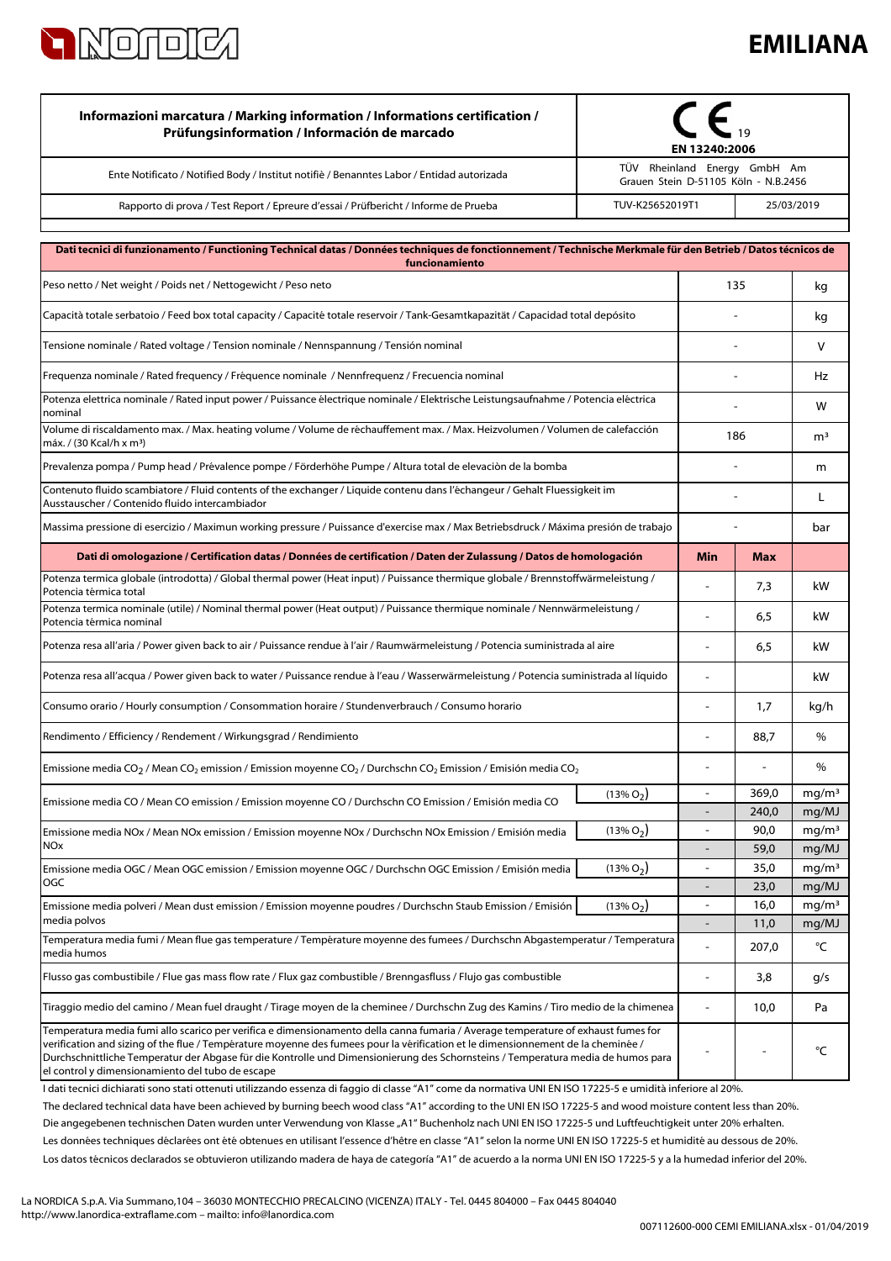

## **EMILIANA**

| Informazioni marcatura / Marking information / Informations certification /<br>Prüfungsinformation / Información de marcado                                                                                                                                                                                                                                                                                                                                   | EN 13240:2006                                                        |                |                            |
|---------------------------------------------------------------------------------------------------------------------------------------------------------------------------------------------------------------------------------------------------------------------------------------------------------------------------------------------------------------------------------------------------------------------------------------------------------------|----------------------------------------------------------------------|----------------|----------------------------|
| Ente Notificato / Notified Body / Institut notifiè / Benanntes Labor / Entidad autorizada                                                                                                                                                                                                                                                                                                                                                                     | TÜV Rheinland Energy GmbH Am<br>Grauen Stein D-51105 Köln - N.B.2456 |                |                            |
| TUV-K25652019T1<br>Rapporto di prova / Test Report / Epreure d'essai / Prüfbericht / Informe de Prueba                                                                                                                                                                                                                                                                                                                                                        | 25/03/2019                                                           |                |                            |
| Dati tecnici di funzionamento / Functioning Technical datas / Données techniques de fonctionnement / Technische Merkmale für den Betrieb / Datos técnicos de<br>funcionamiento                                                                                                                                                                                                                                                                                |                                                                      |                |                            |
| Peso netto / Net weight / Poids net / Nettogewicht / Peso neto                                                                                                                                                                                                                                                                                                                                                                                                |                                                                      | 135            |                            |
| Capacità totale serbatoio / Feed box total capacity / Capacité totale reservoir / Tank-Gesamtkapazität / Capacidad total depósito                                                                                                                                                                                                                                                                                                                             |                                                                      |                |                            |
| Tensione nominale / Rated voltage / Tension nominale / Nennspannung / Tensión nominal                                                                                                                                                                                                                                                                                                                                                                         |                                                                      |                | V                          |
| Frequenza nominale / Rated frequency / Fréquence nominale / Nennfrequenz / Frecuencia nominal                                                                                                                                                                                                                                                                                                                                                                 |                                                                      |                | Hz                         |
| Potenza elettrica nominale / Rated input power / Puissance électrique nominale / Elektrische Leistungsaufnahme / Potencia eléctrica<br>nominal                                                                                                                                                                                                                                                                                                                |                                                                      |                | w                          |
| Volume di riscaldamento max. / Max. heating volume / Volume de réchauffement max. / Max. Heizvolumen / Volumen de calefacción<br>máx. / (30 Kcal/h x m <sup>3</sup> )                                                                                                                                                                                                                                                                                         | 186                                                                  |                | m <sup>3</sup>             |
| Prevalenza pompa / Pump head / Prévalence pompe / Förderhöhe Pumpe / Altura total de elevaciòn de la bomba                                                                                                                                                                                                                                                                                                                                                    |                                                                      |                | m                          |
| Contenuto fluido scambiatore / Fluid contents of the exchanger / Liquide contenu dans l'échangeur / Gehalt Fluessigkeit im<br>Ausstauscher / Contenido fluido intercambiador                                                                                                                                                                                                                                                                                  |                                                                      |                | L                          |
| Massima pressione di esercizio / Maximun working pressure / Puissance d'exercise max / Max Betriebsdruck / Máxima presión de trabajo                                                                                                                                                                                                                                                                                                                          |                                                                      |                | bar                        |
| Dati di omologazione / Certification datas / Données de certification / Daten der Zulassung / Datos de homologación                                                                                                                                                                                                                                                                                                                                           | Min                                                                  | <b>Max</b>     |                            |
| Potenza termica globale (introdotta) / Global thermal power (Heat input) / Puissance thermique globale / Brennstoffwärmeleistung /<br>Potencia térmica total                                                                                                                                                                                                                                                                                                  | $\overline{a}$                                                       | 7,3            | kW                         |
| Potenza termica nominale (utile) / Nominal thermal power (Heat output) / Puissance thermique nominale / Nennwärmeleistung /<br>Potencia térmica nominal                                                                                                                                                                                                                                                                                                       | ÷,                                                                   | 6,5            | kW                         |
| Potenza resa all'aria / Power given back to air / Puissance rendue à l'air / Raumwärmeleistung / Potencia suministrada al aire                                                                                                                                                                                                                                                                                                                                |                                                                      | 6,5            | kW                         |
| Potenza resa all'acqua / Power given back to water / Puissance rendue à l'eau / Wasserwärmeleistung / Potencia suministrada al líquido                                                                                                                                                                                                                                                                                                                        | ÷                                                                    |                | kW                         |
| Consumo orario / Hourly consumption / Consommation horaire / Stundenverbrauch / Consumo horario                                                                                                                                                                                                                                                                                                                                                               | 1,7<br>ä,                                                            |                | kg/h                       |
| Rendimento / Efficiency / Rendement / Wirkungsgrad / Rendimiento                                                                                                                                                                                                                                                                                                                                                                                              | 88,7                                                                 |                | %                          |
| Emissione media CO <sub>2</sub> / Mean CO <sub>2</sub> emission / Emission moyenne CO <sub>2</sub> / Durchschn CO <sub>2</sub> Emission / Emisión media CO <sub>2</sub>                                                                                                                                                                                                                                                                                       |                                                                      |                | %                          |
| $(13\% O2)$<br>Emissione media CO / Mean CO emission / Emission moyenne CO / Durchschn CO Emission / Emisión media CO                                                                                                                                                                                                                                                                                                                                         | $\blacksquare$                                                       | 369,0<br>240,0 | mg/m <sup>3</sup><br>mg/MJ |
| $(13\% O2)$<br>Emissione media NOx / Mean NOx emission / Emission moyenne NOx / Durchschn NOx Emission / Emisión media                                                                                                                                                                                                                                                                                                                                        | ÷                                                                    | 90,0           | mg/m <sup>3</sup>          |
| <b>NOx</b>                                                                                                                                                                                                                                                                                                                                                                                                                                                    | $\overline{a}$                                                       | 59,0           | mg/MJ                      |
| $(13\% O_2)$<br>Emissione media OGC / Mean OGC emission / Emission moyenne OGC / Durchschn OGC Emission / Emisión media                                                                                                                                                                                                                                                                                                                                       | $\overline{a}$                                                       | 35,0           | mg/m <sup>3</sup>          |
| OGC                                                                                                                                                                                                                                                                                                                                                                                                                                                           | L,                                                                   | 23,0           | mg/MJ                      |
| $(13\% O_2)$<br>Emissione media polveri / Mean dust emission / Emission moyenne poudres / Durchschn Staub Emission / Emisión<br>media polvos                                                                                                                                                                                                                                                                                                                  | ä,                                                                   | 16,0<br>11,0   | mg/m <sup>3</sup><br>mg/MJ |
| Temperatura media fumi / Mean flue gas temperature / Température moyenne des fumees / Durchschn Abgastemperatur / Temperatura<br>media humos                                                                                                                                                                                                                                                                                                                  |                                                                      | 207,0          | °C                         |
| Flusso gas combustibile / Flue gas mass flow rate / Flux gaz combustible / Brenngasfluss / Flujo gas combustible                                                                                                                                                                                                                                                                                                                                              | ٠                                                                    | 3,8            | g/s                        |
| Tiraggio medio del camino / Mean fuel draught / Tirage moyen de la cheminee / Durchschn Zug des Kamins / Tiro medio de la chimenea                                                                                                                                                                                                                                                                                                                            |                                                                      | 10,0           | Pa                         |
| Temperatura media fumi allo scarico per verifica e dimensionamento della canna fumaria / Average temperature of exhaust fumes for<br>verification and sizing of the flue / Température moyenne des fumees pour la vérification et le dimensionnement de la cheminée /<br>Durchschnittliche Temperatur der Abgase für die Kontrolle und Dimensionierung des Schornsteins / Temperatura media de humos para<br>el control y dimensionamiento del tubo de escape |                                                                      |                | °C                         |

Los datos técnicos declarados se obtuvieron utilizando madera de haya de categoría "A1" de acuerdo a la norma UNI EN ISO 17225-5 y a la humedad inferior del 20%. Les données techniques déclarées ont été obtenues en utilisant l'essence d'hêtre en classe "A1" selon la norme UNI EN ISO 17225-5 et humidité au dessous de 20%. I dati tecnici dichiarati sono stati ottenuti utilizzando essenza di faggio di classe "A1" come da normativa UNI EN ISO 17225-5 e umidità inferiore al 20%. Die angegebenen technischen Daten wurden unter Verwendung von Klasse "A1" Buchenholz nach UNI EN ISO 17225-5 und Luftfeuchtigkeit unter 20% erhalten. The declared technical data have been achieved by burning beech wood class "A1" according to the UNI EN ISO 17225-5 and wood moisture content less than 20%.